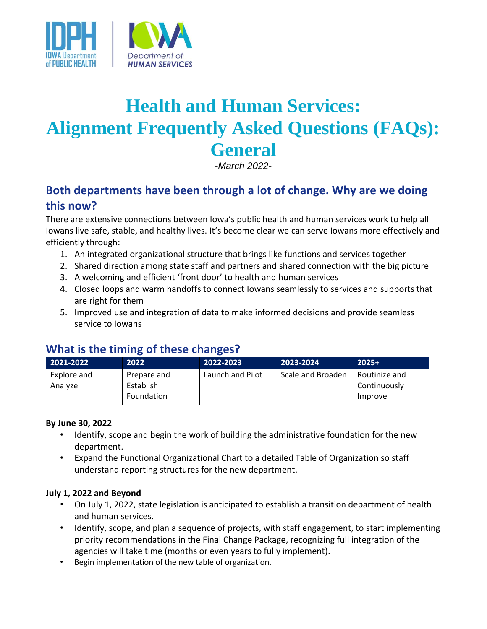

# **Health and Human Services: Alignment Frequently Asked Questions (FAQs): General**

*-March 2022-*

# **Both departments have been through a lot of change. Why are we doing this now?**

There are extensive connections between Iowa's public health and human services work to help all Iowans live safe, stable, and healthy lives. It's become clear we can serve Iowans more effectively and efficiently through:

- 1. An integrated organizational structure that brings like functions and services together
- 2. Shared direction among state staff and partners and shared connection with the big picture
- 3. A welcoming and efficient 'front door' to health and human services
- 4. Closed loops and warm handoffs to connect Iowans seamlessly to services and supports that are right for them
- 5. Improved use and integration of data to make informed decisions and provide seamless service to Iowans

## **What is the timing of these changes?**

| 2021-2022   | 2022        | 2022-2023        | 2023-2024         | $2025+$       |
|-------------|-------------|------------------|-------------------|---------------|
| Explore and | Prepare and | Launch and Pilot | Scale and Broaden | Routinize and |
| Analyze     | Establish   |                  |                   | Continuously  |
|             | Foundation  |                  |                   | Improve       |

#### **By June 30, 2022**

- Identify, scope and begin the work of building the administrative foundation for the new department.
- Expand the Functional Organizational Chart to a detailed Table of Organization so staff understand reporting structures for the new department.

#### **July 1, 2022 and Beyond**

- On July 1, 2022, state legislation is anticipated to establish a transition department of health and human services.
- Identify, scope, and plan a sequence of projects, with staff engagement, to start implementing priority recommendations in the Final Change Package, recognizing full integration of the agencies will take time (months or even years to fully implement).
- Begin implementation of the new table of organization.